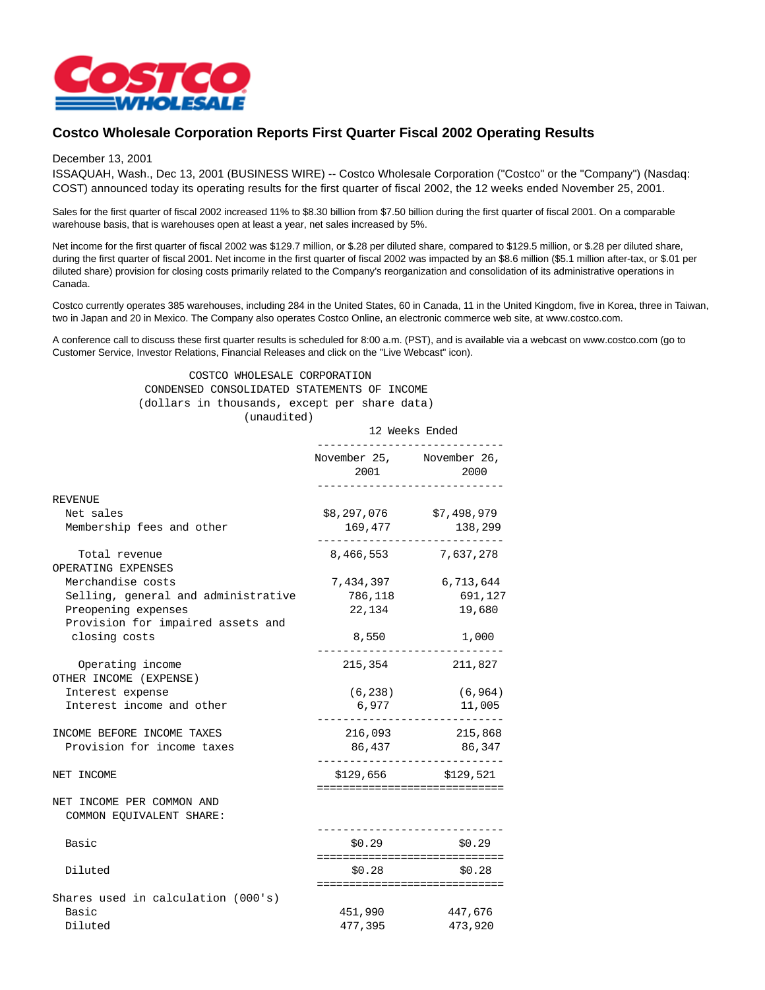

## **Costco Wholesale Corporation Reports First Quarter Fiscal 2002 Operating Results**

## December 13, 2001

ISSAQUAH, Wash., Dec 13, 2001 (BUSINESS WIRE) -- Costco Wholesale Corporation ("Costco" or the "Company") (Nasdaq: COST) announced today its operating results for the first quarter of fiscal 2002, the 12 weeks ended November 25, 2001.

Sales for the first quarter of fiscal 2002 increased 11% to \$8.30 billion from \$7.50 billion during the first quarter of fiscal 2001. On a comparable warehouse basis, that is warehouses open at least a year, net sales increased by 5%.

Net income for the first quarter of fiscal 2002 was \$129.7 million, or \$.28 per diluted share, compared to \$129.5 million, or \$.28 per diluted share, during the first quarter of fiscal 2001. Net income in the first quarter of fiscal 2002 was impacted by an \$8.6 million (\$5.1 million after-tax, or \$.01 per diluted share) provision for closing costs primarily related to the Company's reorganization and consolidation of its administrative operations in Canada.

Costco currently operates 385 warehouses, including 284 in the United States, 60 in Canada, 11 in the United Kingdom, five in Korea, three in Taiwan, two in Japan and 20 in Mexico. The Company also operates Costco Online, an electronic commerce web site, at www.costco.com.

A conference call to discuss these first quarter results is scheduled for 8:00 a.m. (PST), and is available via a webcast on www.costco.com (go to Customer Service, Investor Relations, Financial Releases and click on the "Live Webcast" icon).

> COSTCO WHOLESALE CORPORATION CONDENSED CONSOLIDATED STATEMENTS OF INCOME (dollars in thousands, except per share data) (unaudited)

|                                                       | 12 Weeks Ended                    |                                                                              |
|-------------------------------------------------------|-----------------------------------|------------------------------------------------------------------------------|
|                                                       | November 25, November 26,<br>2001 | 2000                                                                         |
| <b>REVENUE</b>                                        |                                   |                                                                              |
| Net sales                                             | \$8,297,076                       | \$7,498,979                                                                  |
| Membership fees and other                             | 169,477                           | 138,299                                                                      |
| Total revenue                                         | 8,466,553                         | 7,637,278                                                                    |
| OPERATING EXPENSES                                    |                                   |                                                                              |
| Merchandise costs                                     | 7,434,397                         | 6,713,644                                                                    |
| Selling, general and administrative                   | 786,118                           | 691,127                                                                      |
| Preopening expenses                                   | 22,134                            | 19,680                                                                       |
| Provision for impaired assets and<br>closing costs    | 8,550                             | 1,000                                                                        |
| Operating income<br>OTHER INCOME (EXPENSE)            |                                   | 215,354 211,827                                                              |
| Interest expense                                      |                                   | $(6, 238)$ (6,964)                                                           |
| Interest income and other                             | 6,977                             | 11,005                                                                       |
| INCOME BEFORE INCOME TAXES                            |                                   | 216,093 215,868                                                              |
| Provision for income taxes                            |                                   | 86,437 86,347                                                                |
| NET INCOME                                            |                                   | $$129,656$ $$129,521$                                                        |
| NET INCOME PER COMMON AND<br>COMMON EQUIVALENT SHARE: |                                   | ===============================                                              |
| Basic                                                 | \$0.29                            | \$0.29                                                                       |
| Diluted                                               | \$0.28                            | ===============================<br>\$0.28<br>=============================== |
| Shares used in calculation (000's)                    |                                   |                                                                              |
| Basic                                                 | 451,990                           | 447,676                                                                      |
| Diluted                                               | 477,395                           | 473,920                                                                      |